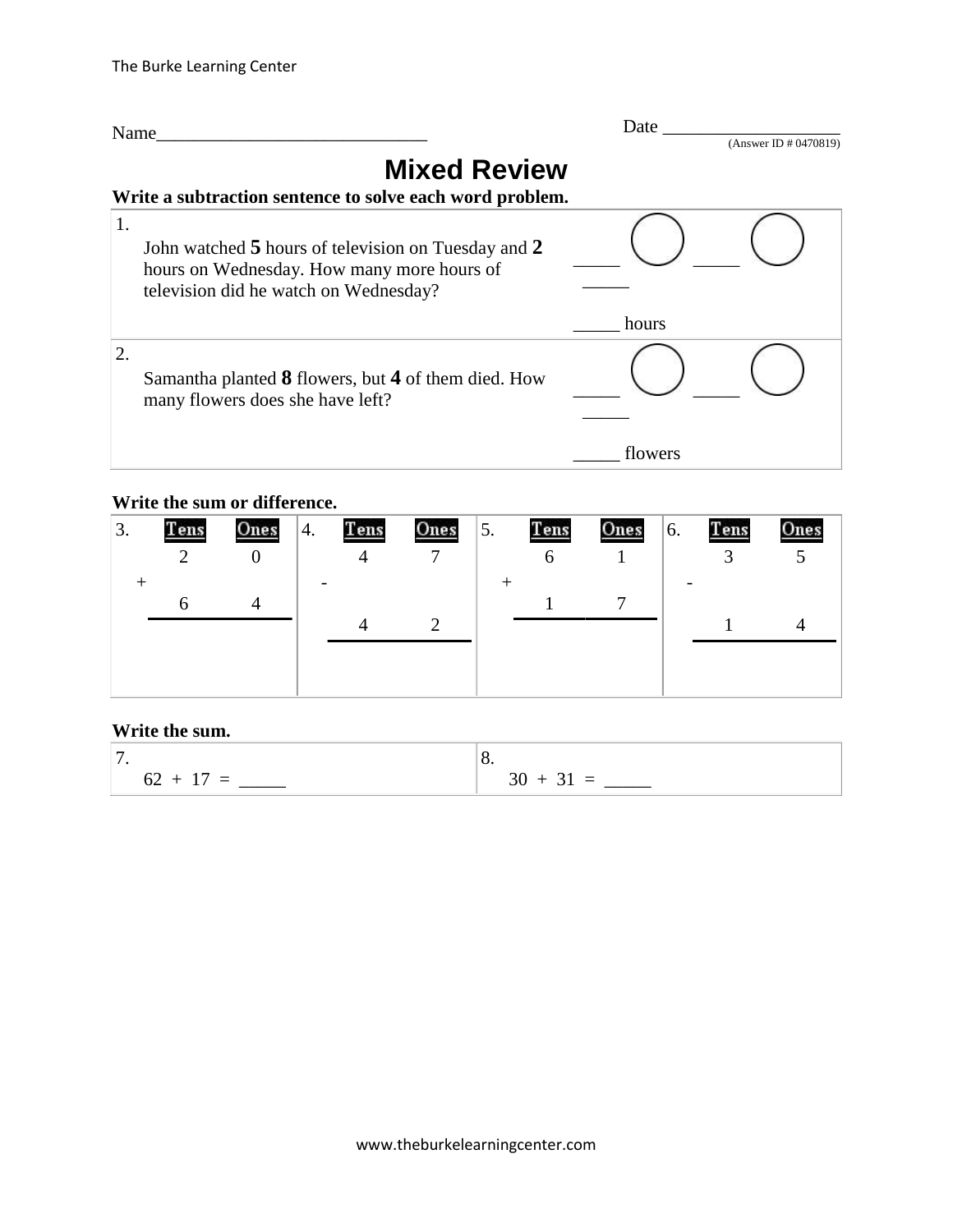

#### **Write the sum or difference.**

| 3. | Tens | Ones | 4. | Tens | Ones | 5. | Tens | Ones | 6. | Tens | One |
|----|------|------|----|------|------|----|------|------|----|------|-----|
|    |      |      |    |      |      |    | n    |      |    |      |     |
|    |      |      |    |      |      |    |      |      |    |      |     |
|    |      |      |    |      |      |    |      |      |    |      |     |
|    |      |      |    |      |      |    |      |      |    |      |     |
|    |      |      |    |      |      |    |      |      |    |      |     |
|    |      |      |    |      |      |    |      |      |    |      |     |
|    |      |      |    |      |      |    |      |      |    |      |     |

### **Write the sum.**

| -           | υ.                                  |
|-------------|-------------------------------------|
| $62 + 17 =$ | $30 + 3$<br>$31 -$<br>$\sim$ $\sim$ |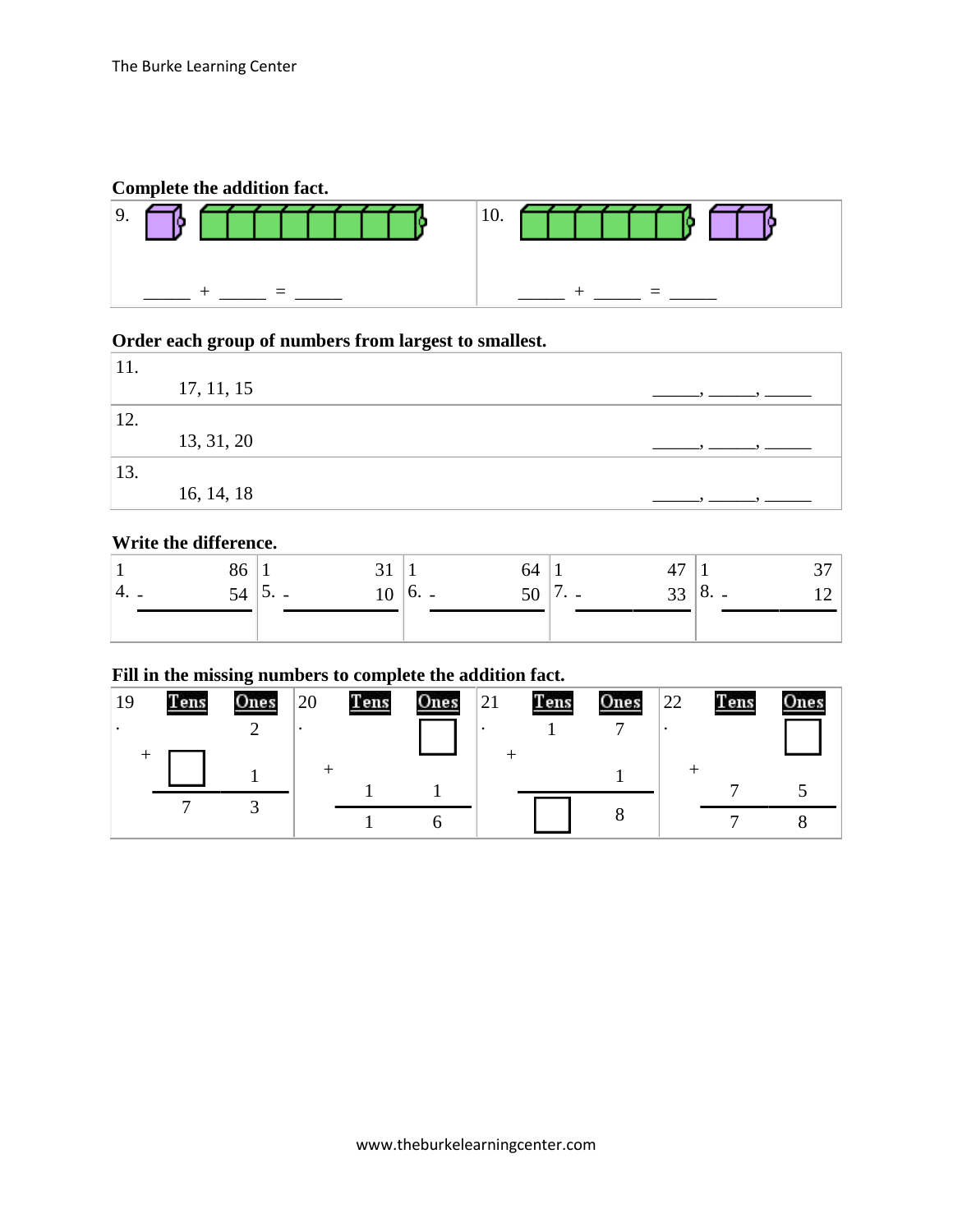### **Complete the addition fact.**



# **Order each group of numbers from largest to smallest.**

| 11. |            |  |
|-----|------------|--|
|     | 17, 11, 15 |  |
| 12. |            |  |
|     | 13, 31, 20 |  |
| 13. |            |  |
|     | 16, 14, 18 |  |

### **Write the difference.**

|       | გბ |    |        | 54. |                                         | $\overline{ }$<br>┱, |              |  |
|-------|----|----|--------|-----|-----------------------------------------|----------------------|--------------|--|
| '4. L | 54 | 10 | $0. -$ | ΟU  | $\overline{\phantom{a}}$<br>$\cdot$ $-$ | 33                   | $\vert 8.$ - |  |
|       |    |    |        |     |                                         |                      |              |  |

### **Fill in the missing numbers to complete the addition fact.**

| 19 | <b>Tens</b> | Ones | 20 | Tens | Ones | 21 | Tens | Ones | 22 | Tens | Ones |
|----|-------------|------|----|------|------|----|------|------|----|------|------|
|    |             |      |    |      |      |    |      |      |    |      |      |
|    |             |      |    |      |      |    |      |      |    |      |      |
|    |             |      |    |      |      |    |      |      |    |      |      |
|    |             |      |    |      |      |    |      |      |    |      |      |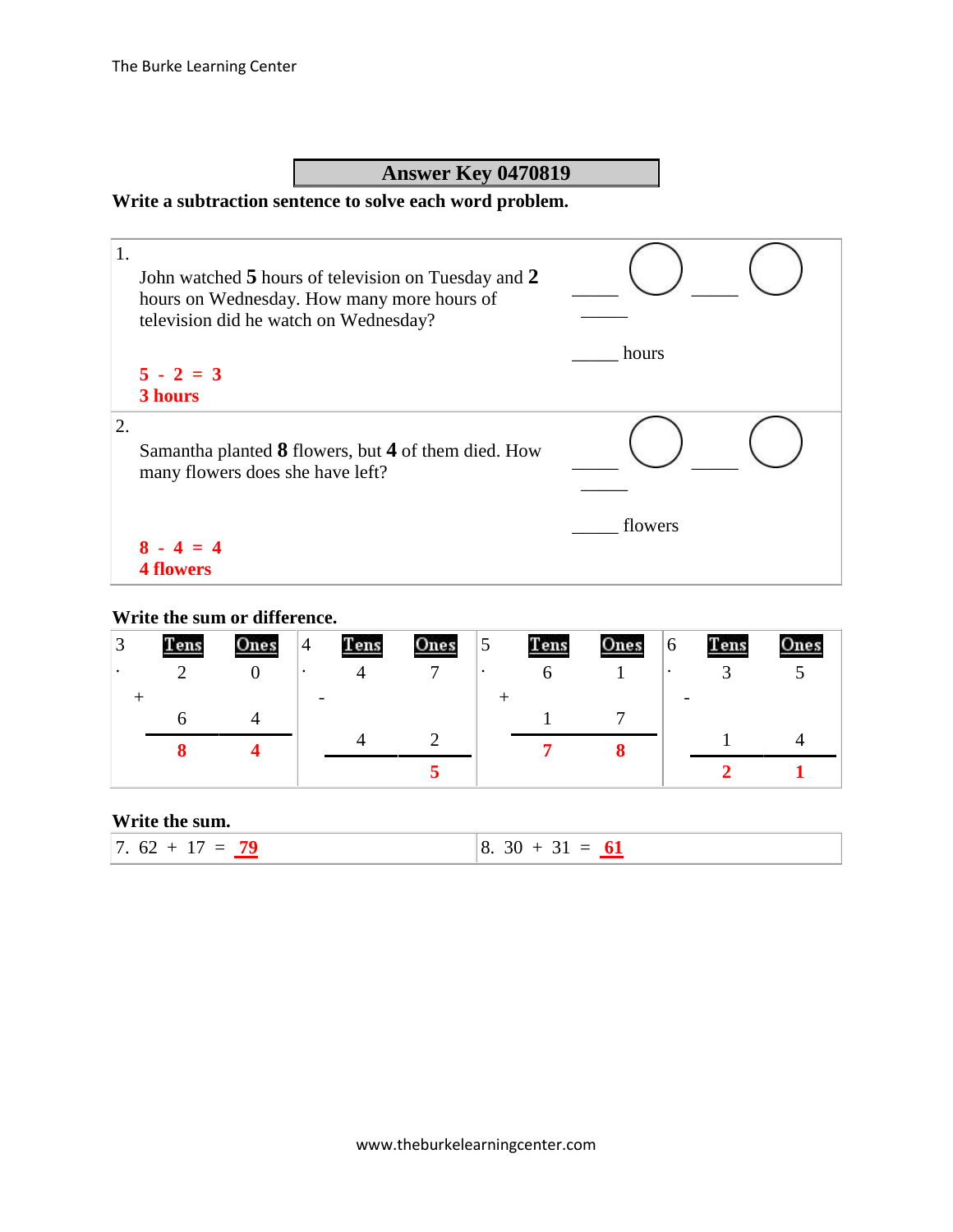## **Answer Key 0470819**

### **Write a subtraction sentence to solve each word problem.**

| 1. | John watched 5 hours of television on Tuesday and 2<br>hours on Wednesday. How many more hours of<br>television did he watch on Wednesday? |         |
|----|--------------------------------------------------------------------------------------------------------------------------------------------|---------|
|    |                                                                                                                                            | hours   |
|    | $5 - 2 = 3$                                                                                                                                |         |
|    | 3 hours                                                                                                                                    |         |
| 2. | Samantha planted 8 flowers, but 4 of them died. How<br>many flowers does she have left?                                                    |         |
|    |                                                                                                                                            | flowers |
|    | $8 - 4 = 4$                                                                                                                                |         |
|    | 4 flowers                                                                                                                                  |         |

### **Write the sum or difference.**

| ⌒ | <u>Tens</u> | Ones | $\overline{4}$ | Tens | Ones | 5         | Tens | Ones | 6         | Tens | One |
|---|-------------|------|----------------|------|------|-----------|------|------|-----------|------|-----|
|   |             |      | $\bullet$      |      | −    | $\bullet$ |      |      | $\bullet$ |      |     |
|   |             |      |                |      |      |           |      |      |           |      |     |
|   |             |      |                |      |      |           |      |      |           |      |     |
|   |             |      |                |      |      |           |      |      |           |      |     |
|   |             |      |                |      |      |           |      |      |           |      |     |

#### **Write the sum.**

|  | $\overline{a}$<br>$\mathbf{r}$<br>$6^{\circ}$<br>$\overline{\phantom{0}}$<br><b>Service Service</b> | $\sim$ $\sim$ 1<br>∩י<br>$\overline{\phantom{0}}$<br>01<br>$\hspace{0.05cm}$<br>v.<br>ັ້<br>$\mathcal{L}^{\text{max}}_{\text{max}}$ and $\mathcal{L}^{\text{max}}_{\text{max}}$ and $\mathcal{L}^{\text{max}}_{\text{max}}$ |
|--|-----------------------------------------------------------------------------------------------------|-----------------------------------------------------------------------------------------------------------------------------------------------------------------------------------------------------------------------------|
|--|-----------------------------------------------------------------------------------------------------|-----------------------------------------------------------------------------------------------------------------------------------------------------------------------------------------------------------------------------|